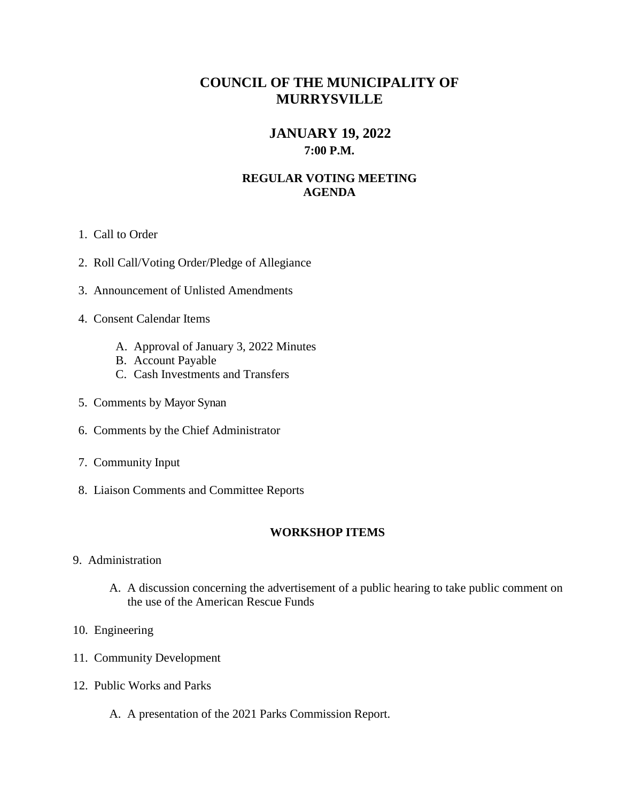# **COUNCIL OF THE MUNICIPALITY OF MURRYSVILLE**

# **JANUARY 19, 2022 7:00 P.M.**

### **REGULAR VOTING MEETING AGENDA**

- 1. Call to Order
- 2. Roll Call/Voting Order/Pledge of Allegiance
- 3. Announcement of Unlisted Amendments
- 4. Consent Calendar Items
	- A. Approval of January 3, 2022 Minutes
	- B. Account Payable
	- C. Cash Investments and Transfers
- 5. Comments by Mayor Synan
- 6. Comments by the Chief Administrator
- 7. Community Input
- 8. Liaison Comments and Committee Reports

#### **WORKSHOP ITEMS**

- 9. Administration
	- A. A discussion concerning the advertisement of a public hearing to take public comment on the use of the American Rescue Funds
- 10. Engineering
- 11. Community Development
- 12. Public Works and Parks
	- A. A presentation of the 2021 Parks Commission Report.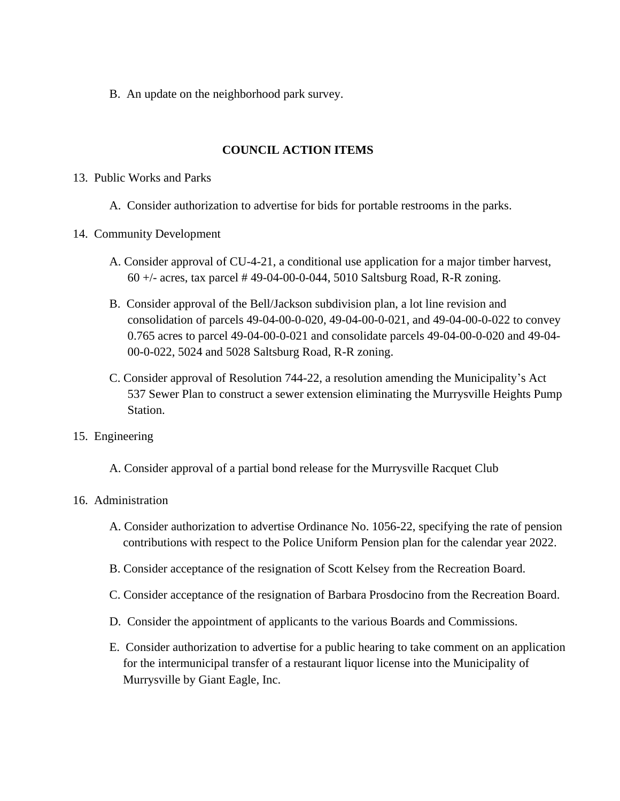B. An update on the neighborhood park survey.

## **COUNCIL ACTION ITEMS**

#### 13. Public Works and Parks

A. Consider authorization to advertise for bids for portable restrooms in the parks.

### 14. Community Development

- A. Consider approval of CU-4-21, a conditional use application for a major timber harvest, 60 +/- acres, tax parcel # 49-04-00-0-044, 5010 Saltsburg Road, R-R zoning.
- B. Consider approval of the Bell/Jackson subdivision plan, a lot line revision and consolidation of parcels 49-04-00-0-020, 49-04-00-0-021, and 49-04-00-0-022 to convey 0.765 acres to parcel 49-04-00-0-021 and consolidate parcels 49-04-00-0-020 and 49-04- 00-0-022, 5024 and 5028 Saltsburg Road, R-R zoning.
- C. Consider approval of Resolution 744-22, a resolution amending the Municipality's Act 537 Sewer Plan to construct a sewer extension eliminating the Murrysville Heights Pump Station.
- 15. Engineering
	- A. Consider approval of a partial bond release for the Murrysville Racquet Club

### 16. Administration

- A. Consider authorization to advertise Ordinance No. 1056-22, specifying the rate of pension contributions with respect to the Police Uniform Pension plan for the calendar year 2022.
- B. Consider acceptance of the resignation of Scott Kelsey from the Recreation Board.
- C. Consider acceptance of the resignation of Barbara Prosdocino from the Recreation Board.
- D. Consider the appointment of applicants to the various Boards and Commissions.
- E. Consider authorization to advertise for a public hearing to take comment on an application for the intermunicipal transfer of a restaurant liquor license into the Municipality of Murrysville by Giant Eagle, Inc.